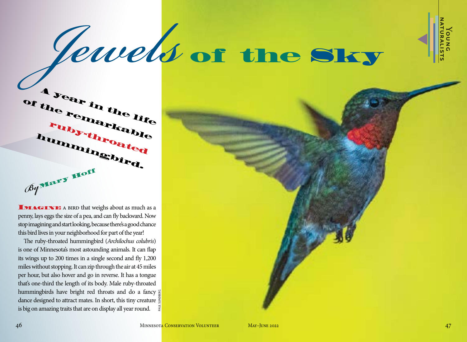

 $\blacktriangleleft$ 

# of the Sky *Jewels*

A year in the life of the remarkable ruby-throated hummingbird. *By*Mary Hoff

**IMAGINE** A BIRD that weighs about as much as a penny, lays eggs the size of a pea, and can fly backward. Now stop imagining and start looking, because there's a good chance this bird lives in your neighborhood for part of the year!

The ruby-throated hummingbird (*Archilochus colubris*) is one of Minnesota's most astounding animals. It can flap its wings up to 200 times in a single second and fly 1,200 miles without stopping. It can zip through the air at 45 miles per hour, but also hover and go in reverse. It has a tongue that's one-third the length of its body. Male ruby-throated hummingbirds have bright red throats and do a fancy  $\ge$ dance designed to attract mates. In short, this tiny creature  $\frac{3}{2}$ is big on amazing traits that are on display all year round. PAUL SUNDBERG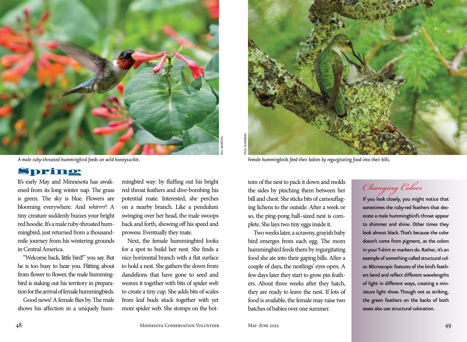

*A male ruby-throated hummingbird feeds on wild honeysuckle.*

## Spring

It's early May and Minnesota has awakened from its long winter nap. The grass is green. The sky is blue. Flowers are blooming everywhere. And *whirrrr*! A tiny creature suddenly buzzes your bright red hoodie. It's a male ruby-throated hummingbird, just returned from a thousandmile journey from his wintering grounds in Central America.

"Welcome back, little bird!" you say. But he is too busy to hear you. Flitting about from flower to flower, the male hummingbird is staking out his territory in preparation for the arrival of female hummingbirds.

Good news! A female flies by. The male shows his affection in a uniquely hummingbird way: by fluffing out his bright red throat feathers and dive-bombing his potential mate. Interested, she perches on a nearby branch. Like a pendulum swinging over her head, the male swoops back and forth, showing off his speed and prowess. Eventually they mate.

Next, the female hummingbird looks for a spot to build her nest. She finds a nice horizontal branch with a flat surface to hold a nest. She gathers the down from dandelions that have gone to seed and weaves it together with bits of spider web to create a tiny cup. She adds bits of scales from leaf buds stuck together with yet more spider web. She stomps on the bot-



*Female hummingbirds feed their babies by regurgitating food into their bills.*

tom of the nest to pack it down and molds the sides by pinching them between her bill and chest. She sticks bits of camouflaging lichens to the outside. After a week or so, the ping-pong ball–sized nest is complete. She lays two tiny eggs inside it.

Two weeks later, a scrawny, grayish baby bird emerges from each egg. The mom hummingbird feeds them by regurgitating food she ate into their gaping bills. After a couple of days, the nestlings' eyes open. A few days later they start to grow pin feathers. About three weeks after they hatch, they are ready to leave the nest. If lots of food is available, the female may raise two batches of babies over one summer.

## *Changing Colors*

If you look closely, you might notice that sometimes the ruby-red feathers that decorate a male hummingbird's throat appear to shimmer and shine. Other times they look almost black. That's because the color doesn't come from pigment, as the colors in your T-shirt or markers do. Rather, it's an example of something called structural color. Microscopic features of the bird's feathers bend and reflect different wavelengths of light in different ways, creating a miniature light show. Though not as striking, the green feathers on the backs of both sexes also use structural coloration.

48 Minnesota Conservation Volunteer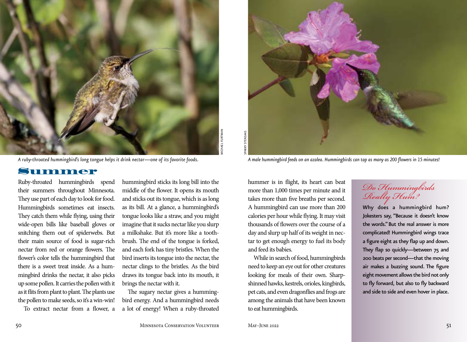

*A ruby-throated hummingbird's long tongue helps it drink nectar—one of its favorite foods.*

#### Summer

Ruby-throated hummingbirds spend their summers throughout Minnesota. They use part of each day to look for food. Hummingbirds sometimes eat insects. They catch them while flying, using their wide-open bills like baseball gloves or snitching them out of spiderwebs. But their main source of food is sugar-rich nectar from red or orange flowers. The flower's color tells the hummingbird that there is a sweet treat inside. As a hummingbird drinks the nectar, it also picks up some pollen. It carries the pollen with it as it flits from plant to plant. The plants use the pollen to make seeds, so it's a win-win!

To extract nectar from a flower, a

hummingbird sticks its long bill into the middle of the flower. It opens its mouth and sticks out its tongue, which is as long as its bill. At a glance, a hummingbird's tongue looks like a straw, and you might imagine that it sucks nectar like you slurp a milkshake. But it's more like a toothbrush. The end of the tongue is forked, and each fork has tiny bristles. When the bird inserts its tongue into the nectar, the nectar clings to the bristles. As the bird draws its tongue back into its mouth, it brings the nectar with it.

The sugary nectar gives a hummingbird energy. And a hummingbird needs a lot of energy! When a ruby-throated



*A male hummingbird feeds on an azalea. Hummingbirds can tap as many as 200 flowers in 15 minutes!*

hummer is in flight, its heart can beat more than 1,000 times per minute and it takes more than five breaths per second. A hummingbird can use more than 200 calories per hour while flying. It may visit thousands of flowers over the course of a day and slurp up half of its weight in nectar to get enough energy to fuel its body and feed its babies.

While in search of food, hummingbirds need to keep an eye out for other creatures looking for meals of their own. Sharpshinned hawks, kestrels, orioles, kingbirds, pet cats, and even dragonflies and frogs are among the animals that have been known to eat hummingbirds.

## *Do Hummingbirds Really Hum?*

Why does a hummingbird hum? Jokesters say, "Because it doesn't know the words." But the real answer is more complicated! Hummingbird wings trace a figure eight as they flap up and down. They flap so quickly—between 75 and 200 beats per second—that the moving air makes a buzzing sound. The figure eight movement allows the bird not only to fly forward, but also to fly backward and side to side and even hover in place.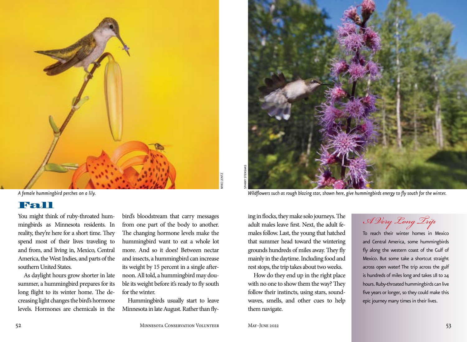

### Fall

You might think of ruby-throated hummingbirds as Minnesota residents. In reality, they're here for a short time. They spend most of their lives traveling to and from, and living in, Mexico, Central America, the West Indies, and parts of the southern United States.

As daylight hours grow shorter in late summer, a hummingbird prepares for its long flight to its winter home. The decreasing light changes the bird's hormone levels. Hormones are chemicals in the bird's bloodstream that carry messages from one part of the body to another. The changing hormone levels make the hummingbird want to eat a whole lot more. And so it does! Between nectar and insects, a hummingbird can increase its weight by 15 percent in a single afternoon. All told, a hummingbird may double its weight before it's ready to fly south for the winter.

Hummingbirds usually start to leave Minnesota in late August. Rather than fly-



ing in flocks, they make solo journeys. The adult males leave first. Next, the adult females follow. Last, the young that hatched that summer head toward the wintering grounds hundreds of miles away. They fly mainly in the daytime. Including food and rest stops, the trip takes about two weeks.

How do they end up in the right place with no one to show them the way? They follow their instincts, using stars, soundwaves, smells, and other cues to help them navigate.

*A Very Long Trip*

To reach their winter homes in Mexico and Central America, some hummingbirds fly along the western coast of the Gulf of Mexico. But some take a shortcut straight across open water! The trip across the gulf is hundreds of miles long and takes 18 to 24 hours. Ruby-throated hummingbirds can live five years or longer, so they could make this epic journey many times in their lives.